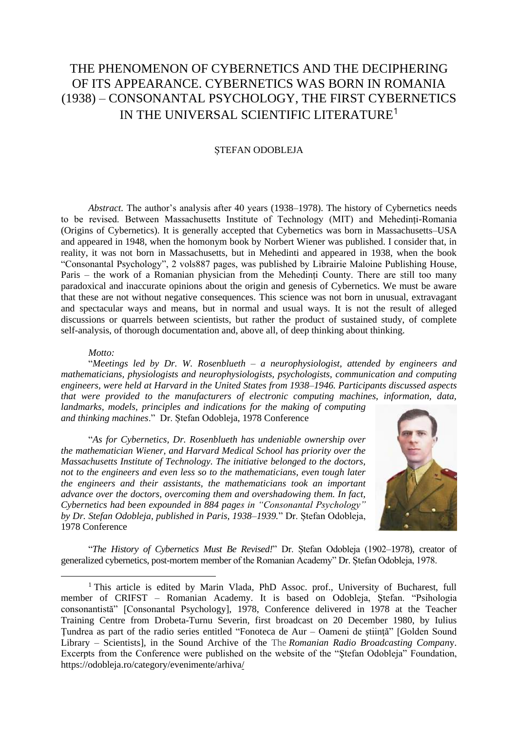# THE PHENOMENON OF CYBERNETICS AND THE DECIPHERING OF ITS APPEARANCE. CYBERNETICS WAS BORN IN ROMANIA (1938) – CONSONANTAL PSYCHOLOGY, THE FIRST CYBERNETICS IN THE UNIVERSAL SCIENTIFIC LITERATURE<sup>1</sup>

### ȘTEFAN ODOBLEJA

*Abstract.* The author's analysis after 40 years (1938–1978). The history of Cybernetics needs to be revised. Between Massachusetts Institute of Technology (MIT) and Mehedinți-Romania (Origins of Cybernetics). It is generally accepted that Cybernetics was born in Massachusetts–USA and appeared in 1948, when the homonym book by Norbert Wiener was published. I consider that, in reality, it was not born in Massachusetts, but in Mehedinti and appeared in 1938, when the book "Consonantal Psychology", 2 vols887 pages, was published by Librairie Maloine Publishing House, Paris – the work of a Romanian physician from the Mehedinți County. There are still too many paradoxical and inaccurate opinions about the origin and genesis of Cybernetics. We must be aware that these are not without negative consequences. This science was not born in unusual, extravagant and spectacular ways and means, but in normal and usual ways. It is not the result of alleged discussions or quarrels between scientists, but rather the product of sustained study, of complete self-analysis, of thorough documentation and, above all, of deep thinking about thinking.

#### *Motto:*

"*Meetings led by Dr. W. Rosenblueth – a neurophysiologist, attended by engineers and mathematicians, physiologists and neurophysiologists, psychologists, communication and computing engineers, were held at Harvard in the United States from 1938–1946. Participants discussed aspects that were provided to the manufacturers of electronic computing machines, information, data,* 

*landmarks, models, principles and indications for the making of computing and thinking machines*." Dr. Ștefan Odobleja, 1978 Conference

"*As for Cybernetics, Dr. Rosenblueth has undeniable ownership over the mathematician Wiener, and Harvard Medical School has priority over the Massachusetts Institute of Technology. The initiative belonged to the doctors, not to the engineers and even less so to the mathematicians, even tough later the engineers and their assistants, the mathematicians took an important advance over the doctors, overcoming them and overshadowing them. In fact, Cybernetics had been expounded in 884 pages in "Consonantal Psychology" by Dr. Stefan Odobleja, published in Paris, 1938–1939.*" Dr. Ștefan Odobleja, 1978 Conference



"*The History of Cybernetics Must Be Revised!*" Dr. Ștefan Odobleja (1902–1978), creator of generalized cybernetics, post-mortem member of the Romanian Academy" Dr. Ștefan Odobleja, 1978.

<sup>&</sup>lt;sup>1</sup> This article is edited by Marin Vlada, PhD Assoc. prof., University of Bucharest, full member of CRIFST – Romanian Academy. It is based on Odobleja, Ştefan. "Psihologia consonantistă" [Consonantal Psychology], 1978, Conference delivered in 1978 at the Teacher Training Centre from Drobeta-Turnu Severin, first broadcast on 20 December 1980, by Iulius Tundrea as part of the radio series entitled "Fonoteca de Aur – Oameni de stiintă" [Golden Sound Library – Scientists], in the Sound Archive of the The *Romanian Radio Broadcasting Compan*y. Excerpts from the Conference were published on the website of the "Ştefan Odobleja" Foundation, https://odobleja.ro/category/evenimente/arhiva/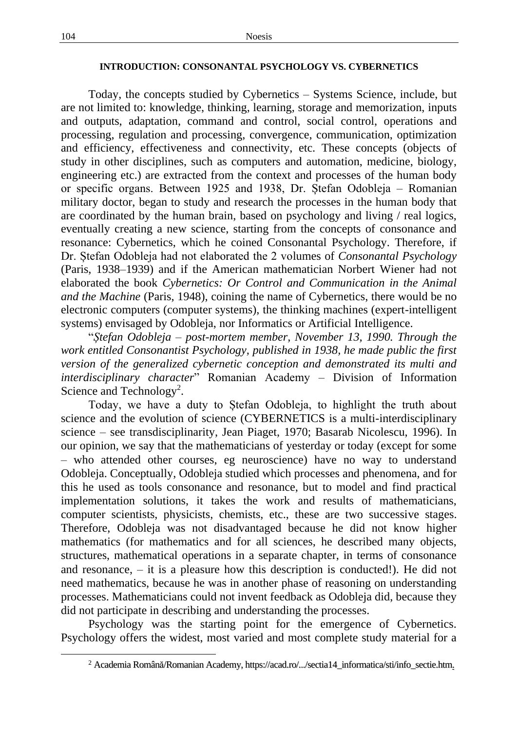# **INTRODUCTION: CONSONANTAL PSYCHOLOGY VS. CYBERNETICS**

Today, the concepts studied by Cybernetics – Systems Science, include, but are not limited to: knowledge, thinking, learning, storage and memorization, inputs and outputs, adaptation, command and control, social control, operations and processing, regulation and processing, convergence, communication, optimization and efficiency, effectiveness and connectivity, etc. These concepts (objects of study in other disciplines, such as computers and automation, medicine, biology, engineering etc.) are extracted from the context and processes of the human body or specific organs. Between 1925 and 1938, Dr. Ștefan Odobleja – Romanian military doctor, began to study and research the processes in the human body that are coordinated by the human brain, based on psychology and living / real logics, eventually creating a new science, starting from the concepts of consonance and resonance: Cybernetics, which he coined Consonantal Psychology. Therefore, if Dr. Ștefan Odobleja had not elaborated the 2 volumes of *Consonantal Psychology*  (Paris, 1938–1939) and if the American mathematician Norbert Wiener had not elaborated the book *Cybernetics: Or Control and Communication in the Animal and the Machine* (Paris, 1948), coining the name of Cybernetics, there would be no electronic computers (computer systems), the thinking machines (expert-intelligent systems) envisaged by Odobleja, nor Informatics or Artificial Intelligence.

"*Ștefan Odobleja – post-mortem member, November 13, 1990. Through the work entitled Consonantist Psychology, published in 1938, he made public the first version of the generalized cybernetic conception and demonstrated its multi and interdisciplinary character*" Romanian Academy – Division of Information Science and Technology<sup>2</sup>.

Today, we have a duty to Ștefan Odobleja, to highlight the truth about science and the evolution of science (CYBERNETICS is a multi-interdisciplinary science – see transdisciplinarity, Jean Piaget, 1970; Basarab Nicolescu, 1996). In our opinion, we say that the mathematicians of yesterday or today (except for some – who attended other courses, eg neuroscience) have no way to understand Odobleja. Conceptually, Odobleja studied which processes and phenomena, and for this he used as tools consonance and resonance, but to model and find practical implementation solutions, it takes the work and results of mathematicians, computer scientists, physicists, chemists, etc., these are two successive stages. Therefore, Odobleja was not disadvantaged because he did not know higher mathematics (for mathematics and for all sciences, he described many objects, structures, mathematical operations in a separate chapter, in terms of consonance and resonance, – it is a pleasure how this description is conducted!). He did not need mathematics, because he was in another phase of reasoning on understanding processes. Mathematicians could not invent feedback as Odobleja did, because they did not participate in describing and understanding the processes.

Psychology was the starting point for the emergence of Cybernetics. Psychology offers the widest, most varied and most complete study material for a

<sup>2</sup> Academia Română/Romanian Academy, https://acad.ro/.../sectia14\_informatica/sti/info\_sectie.htm.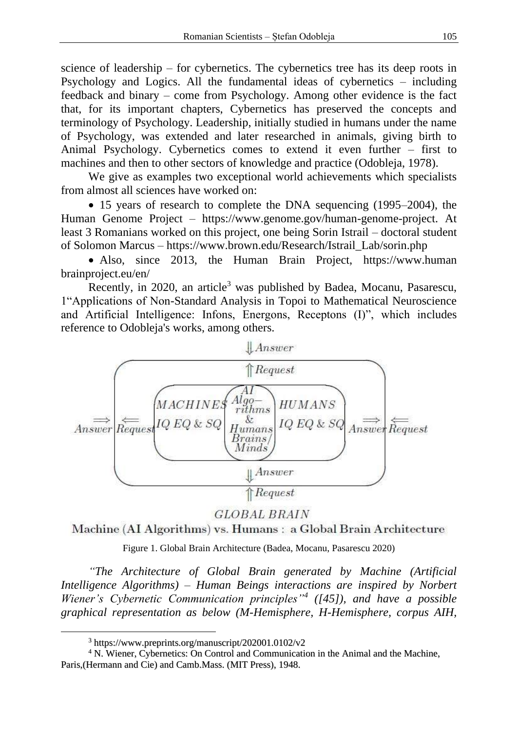science of leadership – for cybernetics. The cybernetics tree has its deep roots in Psychology and Logics. All the fundamental ideas of cybernetics – including feedback and binary – come from Psychology. Among other evidence is the fact that, for its important chapters, Cybernetics has preserved the concepts and terminology of Psychology. Leadership, initially studied in humans under the name of Psychology, was extended and later researched in animals, giving birth to Animal Psychology. Cybernetics comes to extend it even further – first to machines and then to other sectors of knowledge and practice (Odobleja, 1978).

We give as examples two exceptional world achievements which specialists from almost all sciences have worked on:

• 15 years of research to complete the DNA sequencing (1995–2004), the Human Genome Project – https://www.genome.gov/human-genome-project. At least 3 Romanians worked on this project, one being Sorin Istrail – doctoral student of Solomon Marcus – https://www.brown.edu/Research/Istrail\_Lab/sorin.php

• Also, since 2013, the Human Brain Project, https://www.human brainproject.eu/en/

Recently, in 2020, an article<sup>3</sup> was published by Badea, Mocanu, Pasarescu, 1"Applications of Non-Standard Analysis in Topoi to Mathematical Neuroscience and Artificial Intelligence: Infons, Energons, Receptons (I)", which includes reference to Odobleja's works, among others.



**GLOBAL BRAIN** 

Machine (AI Algorithms) vs. Humans: a Global Brain Architecture

Figure 1. Global Brain Architecture (Badea, Mocanu, Pasarescu 2020)

*"The Architecture of Global Brain generated by Machine (Artificial Intelligence Algorithms) – Human Beings interactions are inspired by Norbert Wiener's Cybernetic Communication principles"<sup>4</sup> ([45]), and have a possible graphical representation as below (M-Hemisphere, H-Hemisphere, corpus AIH,* 

<sup>3</sup> https://www.preprints.org/manuscript/202001.0102/v2

<sup>4</sup> N. Wiener, Cybernetics: On Control and Communication in the Animal and the Machine, Paris,(Hermann and Cie) and Camb.Mass. (MIT Press), 1948.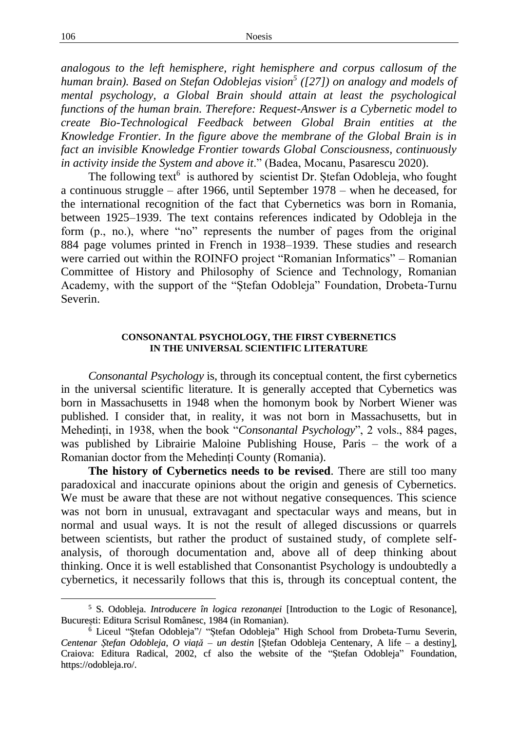*analogous to the left hemisphere, right hemisphere and corpus callosum of the human brain). Based on Stefan Odoblejas vision<sup>5</sup> ([27]) on analogy and models of mental psychology, a Global Brain should attain at least the psychological functions of the human brain. Therefore: Request-Answer is a Cybernetic model to create Bio-Technological Feedback between Global Brain entities at the Knowledge Frontier. In the figure above the membrane of the Global Brain is in fact an invisible Knowledge Frontier towards Global Consciousness, continuously in activity inside the System and above it*." (Badea, Mocanu, Pasarescu 2020).

The following text<sup>6</sup> is authored by scientist Dr. Ștefan Odobleja, who fought a continuous struggle – after 1966, until September 1978 – when he deceased, for the international recognition of the fact that Cybernetics was born in Romania, between 1925–1939. The text contains references indicated by Odobleja in the form (p., no.), where "no" represents the number of pages from the original 884 page volumes printed in French in 1938–1939. These studies and research were carried out within the ROINFO project "Romanian Informatics" – Romanian Committee of History and Philosophy of Science and Technology, Romanian Academy, with the support of the "Ștefan Odobleja" Foundation, Drobeta-Turnu Severin.

## **CONSONANTAL PSYCHOLOGY, THE FIRST CYBERNETICS IN THE UNIVERSAL SCIENTIFIC LITERATURE**

*Consonantal Psychology* is, through its conceptual content, the first cybernetics in the universal scientific literature. It is generally accepted that Cybernetics was born in Massachusetts in 1948 when the homonym book by Norbert Wiener was published. I consider that, in reality, it was not born in Massachusetts, but in Mehedinți, in 1938, when the book "*Consonantal Psychology*", 2 vols., 884 pages, was published by Librairie Maloine Publishing House, Paris – the work of a Romanian doctor from the Mehedinți County (Romania).

**The history of Cybernetics needs to be revised**. There are still too many paradoxical and inaccurate opinions about the origin and genesis of Cybernetics. We must be aware that these are not without negative consequences. This science was not born in unusual, extravagant and spectacular ways and means, but in normal and usual ways. It is not the result of alleged discussions or quarrels between scientists, but rather the product of sustained study, of complete selfanalysis, of thorough documentation and, above all of deep thinking about thinking. Once it is well established that Consonantist Psychology is undoubtedly a cybernetics, it necessarily follows that this is, through its conceptual content, the

<sup>5</sup> S. Odobleja. *Introducere în logica rezonanței* [Introduction to the Logic of Resonance], București: Editura Scrisul Românesc, 1984 (in Romanian).

<sup>6</sup> Liceul "Ștefan Odobleja"/ "Ștefan Odobleja" High School from Drobeta-Turnu Severin, *Centenar Ștefan Odobleja, O viață – un destin* [Ștefan Odobleja Centenary, A life – a destiny], Craiova: Editura Radical, 2002, cf also the website of the "Ștefan Odobleja" Foundation, https://odobleja.ro/.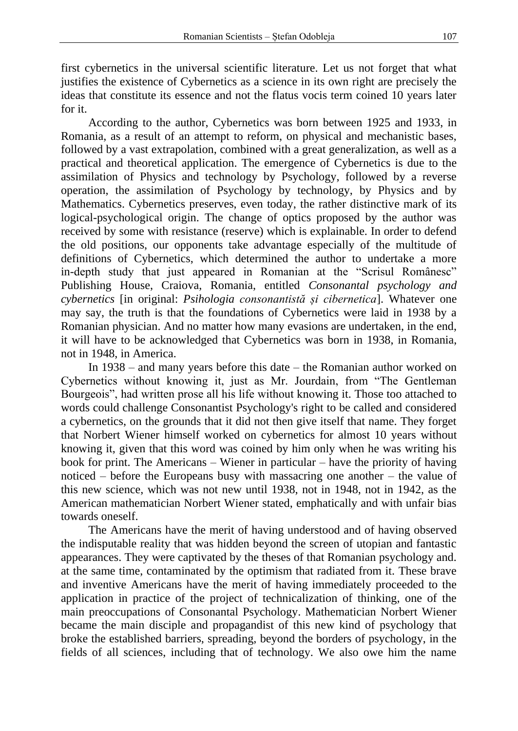first cybernetics in the universal scientific literature. Let us not forget that what justifies the existence of Cybernetics as a science in its own right are precisely the ideas that constitute its essence and not the flatus vocis term coined 10 years later for it.

According to the author, Cybernetics was born between 1925 and 1933, in Romania, as a result of an attempt to reform, on physical and mechanistic bases, followed by a vast extrapolation, combined with a great generalization, as well as a practical and theoretical application. The emergence of Cybernetics is due to the assimilation of Physics and technology by Psychology, followed by a reverse operation, the assimilation of Psychology by technology, by Physics and by Mathematics. Cybernetics preserves, even today, the rather distinctive mark of its logical-psychological origin. The change of optics proposed by the author was received by some with resistance (reserve) which is explainable. In order to defend the old positions, our opponents take advantage especially of the multitude of definitions of Cybernetics, which determined the author to undertake a more in-depth study that just appeared in Romanian at the "Scrisul Românesc" Publishing House, Craiova, Romania, entitled *Consonantal psychology and cybernetics* [in original: *Psihologia consonantistă și cibernetica*]. Whatever one may say, the truth is that the foundations of Cybernetics were laid in 1938 by a Romanian physician. And no matter how many evasions are undertaken, in the end, it will have to be acknowledged that Cybernetics was born in 1938, in Romania, not in 1948, in America.

In 1938 – and many years before this date – the Romanian author worked on Cybernetics without knowing it, just as Mr. Jourdain, from "The Gentleman Bourgeois", had written prose all his life without knowing it. Those too attached to words could challenge Consonantist Psychology's right to be called and considered a cybernetics, on the grounds that it did not then give itself that name. They forget that Norbert Wiener himself worked on cybernetics for almost 10 years without knowing it, given that this word was coined by him only when he was writing his book for print. The Americans – Wiener in particular – have the priority of having noticed – before the Europeans busy with massacring one another – the value of this new science, which was not new until 1938, not in 1948, not in 1942, as the American mathematician Norbert Wiener stated, emphatically and with unfair bias towards oneself.

The Americans have the merit of having understood and of having observed the indisputable reality that was hidden beyond the screen of utopian and fantastic appearances. They were captivated by the theses of that Romanian psychology and. at the same time, contaminated by the optimism that radiated from it. These brave and inventive Americans have the merit of having immediately proceeded to the application in practice of the project of technicalization of thinking, one of the main preoccupations of Consonantal Psychology. Mathematician Norbert Wiener became the main disciple and propagandist of this new kind of psychology that broke the established barriers, spreading, beyond the borders of psychology, in the fields of all sciences, including that of technology. We also owe him the name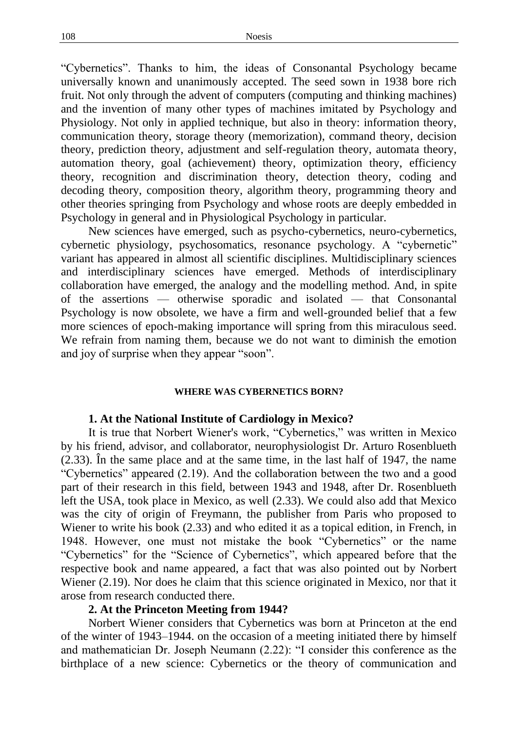"Cybernetics". Thanks to him, the ideas of Consonantal Psychology became universally known and unanimously accepted. The seed sown in 1938 bore rich fruit. Not only through the advent of computers (computing and thinking machines) and the invention of many other types of machines imitated by Psychology and Physiology. Not only in applied technique, but also in theory: information theory, communication theory, storage theory (memorization), command theory, decision theory, prediction theory, adjustment and self-regulation theory, automata theory, automation theory, goal (achievement) theory, optimization theory, efficiency theory, recognition and discrimination theory, detection theory, coding and decoding theory, composition theory, algorithm theory, programming theory and other theories springing from Psychology and whose roots are deeply embedded in Psychology in general and in Physiological Psychology in particular.

New sciences have emerged, such as psycho-cybernetics, neuro-cybernetics, cybernetic physiology, psychosomatics, resonance psychology. A "cybernetic" variant has appeared in almost all scientific disciplines. Multidisciplinary sciences and interdisciplinary sciences have emerged. Methods of interdisciplinary collaboration have emerged, the analogy and the modelling method. And, in spite of the assertions — otherwise sporadic and isolated — that Consonantal Psychology is now obsolete, we have a firm and well-grounded belief that a few more sciences of epoch-making importance will spring from this miraculous seed. We refrain from naming them, because we do not want to diminish the emotion and joy of surprise when they appear "soon".

#### **WHERE WAS CYBERNETICS BORN?**

### **1. At the National Institute of Cardiology in Mexico?**

It is true that Norbert Wiener's work, "Cybernetics," was written in Mexico by his friend, advisor, and collaborator, neurophysiologist Dr. Arturo Rosenblueth (2.33). În the same place and at the same time, in the last half of 1947, the name "Cybernetics" appeared (2.19). And the collaboration between the two and a good part of their research in this field, between 1943 and 1948, after Dr. Rosenblueth left the USA, took place in Mexico, as well (2.33). We could also add that Mexico was the city of origin of Freymann, the publisher from Paris who proposed to Wiener to write his book (2.33) and who edited it as a topical edition, in French, in 1948. However, one must not mistake the book "Cybernetics" or the name "Cybernetics" for the "Science of Cybernetics", which appeared before that the respective book and name appeared, a fact that was also pointed out by Norbert Wiener (2.19). Nor does he claim that this science originated in Mexico, nor that it arose from research conducted there.

## **2. At the Princeton Meeting from 1944?**

Norbert Wiener considers that Cybernetics was born at Princeton at the end of the winter of 1943–1944. on the occasion of a meeting initiated there by himself and mathematician Dr. Joseph Neumann (2.22): "I consider this conference as the birthplace of a new science: Cybernetics or the theory of communication and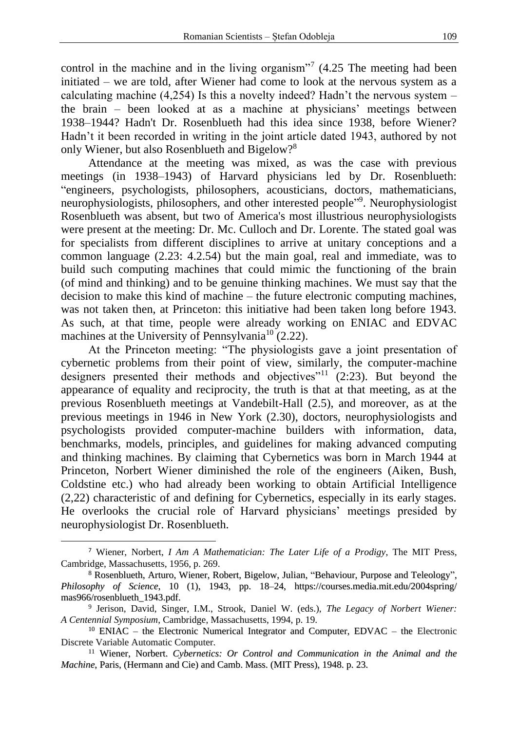control in the machine and in the living organism"<sup>7</sup>  $(4.25)$  The meeting had been initiated – we are told, after Wiener had come to look at the nervous system as a calculating machine (4,254) Is this a novelty indeed? Hadn't the nervous system – the brain – been looked at as a machine at physicians' meetings between 1938–1944? Hadn't Dr. Rosenblueth had this idea since 1938, before Wiener? Hadn't it been recorded in writing in the joint article dated 1943, authored by not only Wiener, but also Rosenblueth and Bigelow?<sup>8</sup>

Attendance at the meeting was mixed, as was the case with previous meetings (in 1938–1943) of Harvard physicians led by Dr. Rosenblueth: "engineers, psychologists, philosophers, acousticians, doctors, mathematicians, neurophysiologists, philosophers, and other interested people" 9 . Neurophysiologist Rosenblueth was absent, but two of America's most illustrious neurophysiologists were present at the meeting: Dr. Mc. Culloch and Dr. Lorente. The stated goal was for specialists from different disciplines to arrive at unitary conceptions and a common language (2.23: 4.2.54) but the main goal, real and immediate, was to build such computing machines that could mimic the functioning of the brain (of mind and thinking) and to be genuine thinking machines. We must say that the decision to make this kind of machine – the future electronic computing machines, was not taken then, at Princeton: this initiative had been taken long before 1943. As such, at that time, people were already working on ENIAC and EDVAC machines at the University of Pennsylvania<sup>10</sup> (2.22).

At the Princeton meeting: "The physiologists gave a joint presentation of cybernetic problems from their point of view, similarly, the computer-machine designers presented their methods and objectives"<sup>11</sup> (2:23). But beyond the appearance of equality and reciprocity, the truth is that at that meeting, as at the previous Rosenblueth meetings at Vandebilt-Hall (2.5), and moreover, as at the previous meetings in 1946 in New York (2.30), doctors, neurophysiologists and psychologists provided computer-machine builders with information, data, benchmarks, models, principles, and guidelines for making advanced computing and thinking machines. By claiming that Cybernetics was born in March 1944 at Princeton, Norbert Wiener diminished the role of the engineers (Aiken, Bush, Coldstine etc.) who had already been working to obtain Artificial Intelligence (2,22) characteristic of and defining for Cybernetics, especially in its early stages. He overlooks the crucial role of Harvard physicians' meetings presided by neurophysiologist Dr. Rosenblueth.

<sup>7</sup> Wiener, Norbert, *I Am A Mathematician: The Later Life of a Prodigy*, The MIT Press, Cambridge, Massachusetts, 1956, p. 269.

<sup>8</sup> Rosenblueth, Arturo, Wiener, Robert, Bigelow, Julian, "Behaviour, Purpose and Teleology", *Philosophy of Science*, 10 (1), 1943, pp. 18–24, https://courses.media.mit.edu/2004spring/ mas966/rosenblueth\_1943.pdf.

<sup>9</sup> Jerison, David, Singer, I.M., Strook, Daniel W. (eds.), *The Legacy of Norbert Wiener: A Centennial Symposium*, Cambridge, Massachusetts, 1994, p. 19.

<sup>10</sup> ENIAC – the Electronic Numerical Integrator and Computer, EDVAC – the Electronic Discrete Variable Automatic Computer.

<sup>11</sup> Wiener, Norbert. *Cybernetics: Or Control and Communication in the Animal and the Machine*, Paris, (Hermann and Cie) and Camb. Mass. (MIT Press), 1948. p. 23.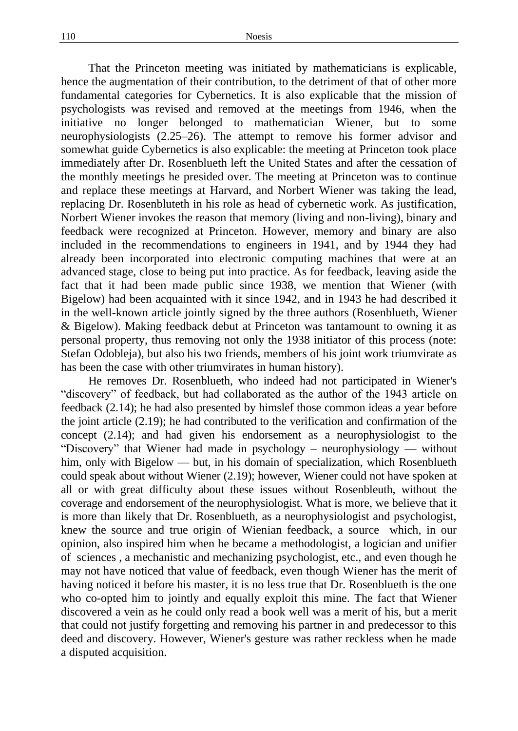That the Princeton meeting was initiated by mathematicians is explicable, hence the augmentation of their contribution, to the detriment of that of other more fundamental categories for Cybernetics. It is also explicable that the mission of psychologists was revised and removed at the meetings from 1946, when the initiative no longer belonged to mathematician Wiener, but to some neurophysiologists (2.25–26). The attempt to remove his former advisor and somewhat guide Cybernetics is also explicable: the meeting at Princeton took place immediately after Dr. Rosenblueth left the United States and after the cessation of the monthly meetings he presided over. The meeting at Princeton was to continue and replace these meetings at Harvard, and Norbert Wiener was taking the lead, replacing Dr. Rosenbluteth in his role as head of cybernetic work. As justification, Norbert Wiener invokes the reason that memory (living and non-living), binary and feedback were recognized at Princeton. However, memory and binary are also included in the recommendations to engineers in 1941, and by 1944 they had already been incorporated into electronic computing machines that were at an advanced stage, close to being put into practice. As for feedback, leaving aside the fact that it had been made public since 1938, we mention that Wiener (with Bigelow) had been acquainted with it since 1942, and in 1943 he had described it in the well-known article jointly signed by the three authors (Rosenblueth, Wiener & Bigelow). Making feedback debut at Princeton was tantamount to owning it as personal property, thus removing not only the 1938 initiator of this process (note: Stefan Odobleja), but also his two friends, members of his joint work triumvirate as has been the case with other triumvirates in human history).

He removes Dr. Rosenblueth, who indeed had not participated in Wiener's "discovery" of feedback, but had collaborated as the author of the 1943 article on feedback (2.14); he had also presented by himslef those common ideas a year before the joint article (2.19); he had contributed to the verification and confirmation of the concept (2.14); and had given his endorsement as a neurophysiologist to the "Discovery" that Wiener had made in psychology – neurophysiology — without him, only with Bigelow — but, in his domain of specialization, which Rosenblueth could speak about without Wiener (2.19); however, Wiener could not have spoken at all or with great difficulty about these issues without Rosenbleuth, without the coverage and endorsement of the neurophysiologist. What is more, we believe that it is more than likely that Dr. Rosenblueth, as a neurophysiologist and psychologist, knew the source and true origin of Wienian feedback, a source which, in our opinion, also inspired him when he became a methodologist, a logician and unifier of sciences , a mechanistic and mechanizing psychologist, etc., and even though he may not have noticed that value of feedback, even though Wiener has the merit of having noticed it before his master, it is no less true that Dr. Rosenblueth is the one who co-opted him to jointly and equally exploit this mine. The fact that Wiener discovered a vein as he could only read a book well was a merit of his, but a merit that could not justify forgetting and removing his partner in and predecessor to this deed and discovery. However, Wiener's gesture was rather reckless when he made a disputed acquisition.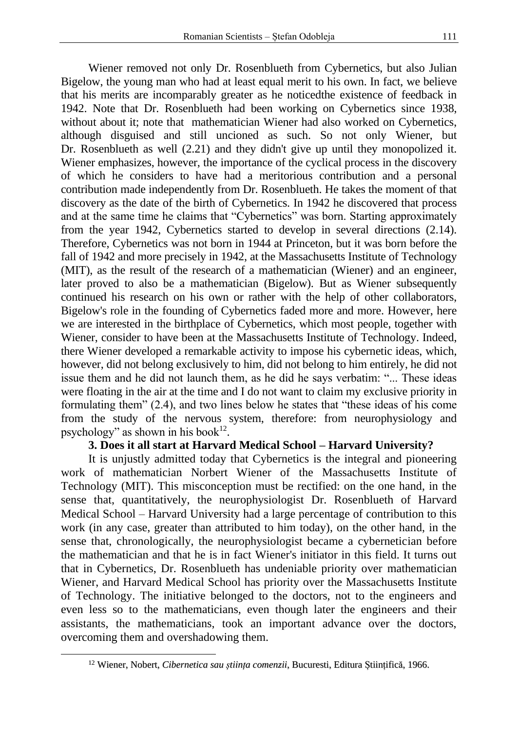Wiener removed not only Dr. Rosenblueth from Cybernetics, but also Julian Bigelow, the young man who had at least equal merit to his own. In fact, we believe that his merits are incomparably greater as he noticedthe existence of feedback in 1942. Note that Dr. Rosenblueth had been working on Cybernetics since 1938, without about it; note that mathematician Wiener had also worked on Cybernetics, although disguised and still uncioned as such. So not only Wiener, but Dr. Rosenblueth as well (2.21) and they didn't give up until they monopolized it. Wiener emphasizes, however, the importance of the cyclical process in the discovery of which he considers to have had a meritorious contribution and a personal contribution made independently from Dr. Rosenblueth. He takes the moment of that discovery as the date of the birth of Cybernetics. In 1942 he discovered that process and at the same time he claims that "Cybernetics" was born. Starting approximately from the year 1942, Cybernetics started to develop in several directions (2.14). Therefore, Cybernetics was not born in 1944 at Princeton, but it was born before the fall of 1942 and more precisely in 1942, at the Massachusetts Institute of Technology (MIT), as the result of the research of a mathematician (Wiener) and an engineer, later proved to also be a mathematician (Bigelow). But as Wiener subsequently continued his research on his own or rather with the help of other collaborators, Bigelow's role in the founding of Cybernetics faded more and more. However, here we are interested in the birthplace of Cybernetics, which most people, together with Wiener, consider to have been at the Massachusetts Institute of Technology. Indeed, there Wiener developed a remarkable activity to impose his cybernetic ideas, which, however, did not belong exclusively to him, did not belong to him entirely, he did not issue them and he did not launch them, as he did he says verbatim: "... These ideas were floating in the air at the time and I do not want to claim my exclusive priority in formulating them" (2.4), and two lines below he states that "these ideas of his come from the study of the nervous system, therefore: from neurophysiology and psychology" as shown in his book $^{12}$ .

# **3. Does it all start at Harvard Medical School – Harvard University?**

It is unjustly admitted today that Cybernetics is the integral and pioneering work of mathematician Norbert Wiener of the Massachusetts Institute of Technology (MIT). This misconception must be rectified: on the one hand, in the sense that, quantitatively, the neurophysiologist Dr. Rosenblueth of Harvard Medical School – Harvard University had a large percentage of contribution to this work (in any case, greater than attributed to him today), on the other hand, in the sense that, chronologically, the neurophysiologist became a cybernetician before the mathematician and that he is in fact Wiener's initiator in this field. It turns out that in Cybernetics, Dr. Rosenblueth has undeniable priority over mathematician Wiener, and Harvard Medical School has priority over the Massachusetts Institute of Technology. The initiative belonged to the doctors, not to the engineers and even less so to the mathematicians, even though later the engineers and their assistants, the mathematicians, took an important advance over the doctors, overcoming them and overshadowing them.

<sup>12</sup> Wiener, Nobert, *Cibernetica sau știința comenzii*, Bucuresti, Editura Științifică, 1966.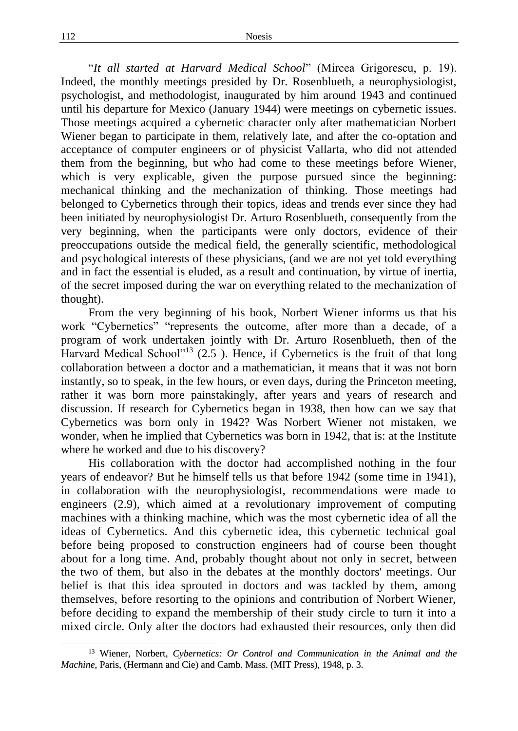"*It all started at Harvard Medical School*" (Mircea Grigorescu, p. 19). Indeed, the monthly meetings presided by Dr. Rosenblueth, a neurophysiologist, psychologist, and methodologist, inaugurated by him around 1943 and continued until his departure for Mexico (January 1944) were meetings on cybernetic issues. Those meetings acquired a cybernetic character only after mathematician Norbert Wiener began to participate in them, relatively late, and after the co-optation and acceptance of computer engineers or of physicist Vallarta, who did not attended them from the beginning, but who had come to these meetings before Wiener, which is very explicable, given the purpose pursued since the beginning: mechanical thinking and the mechanization of thinking. Those meetings had belonged to Cybernetics through their topics, ideas and trends ever since they had been initiated by neurophysiologist Dr. Arturo Rosenblueth, consequently from the very beginning, when the participants were only doctors, evidence of their preoccupations outside the medical field, the generally scientific, methodological and psychological interests of these physicians, (and we are not yet told everything and in fact the essential is eluded, as a result and continuation, by virtue of inertia, of the secret imposed during the war on everything related to the mechanization of thought).

From the very beginning of his book, Norbert Wiener informs us that his work "Cybernetics" "represents the outcome, after more than a decade, of a program of work undertaken jointly with Dr. Arturo Rosenblueth, then of the Harvard Medical School"<sup>13</sup> (2.5). Hence, if Cybernetics is the fruit of that long collaboration between a doctor and a mathematician, it means that it was not born instantly, so to speak, in the few hours, or even days, during the Princeton meeting, rather it was born more painstakingly, after years and years of research and discussion. If research for Cybernetics began in 1938, then how can we say that Cybernetics was born only in 1942? Was Norbert Wiener not mistaken, we wonder, when he implied that Cybernetics was born in 1942, that is: at the Institute where he worked and due to his discovery?

His collaboration with the doctor had accomplished nothing in the four years of endeavor? But he himself tells us that before 1942 (some time in 1941), in collaboration with the neurophysiologist, recommendations were made to engineers (2.9), which aimed at a revolutionary improvement of computing machines with a thinking machine, which was the most cybernetic idea of all the ideas of Cybernetics. And this cybernetic idea, this cybernetic technical goal before being proposed to construction engineers had of course been thought about for a long time. And, probably thought about not only in secret, between the two of them, but also in the debates at the monthly doctors' meetings. Our belief is that this idea sprouted in doctors and was tackled by them, among themselves, before resorting to the opinions and contribution of Norbert Wiener, before deciding to expand the membership of their study circle to turn it into a mixed circle. Only after the doctors had exhausted their resources, only then did

<sup>13</sup> Wiener, Norbert, *Cybernetics: Or Control and Communication in the Animal and the Machine*, Paris, (Hermann and Cie) and Camb. Mass. (MIT Press), 1948, p. 3.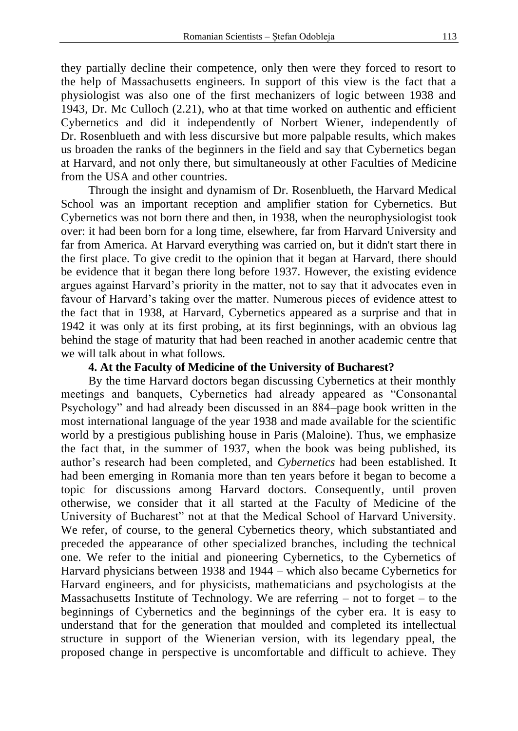they partially decline their competence, only then were they forced to resort to the help of Massachusetts engineers. In support of this view is the fact that a physiologist was also one of the first mechanizers of logic between 1938 and 1943, Dr. Mc Culloch (2.21), who at that time worked on authentic and efficient Cybernetics and did it independently of Norbert Wiener, independently of Dr. Rosenblueth and with less discursive but more palpable results, which makes us broaden the ranks of the beginners in the field and say that Cybernetics began at Harvard, and not only there, but simultaneously at other Faculties of Medicine from the USA and other countries.

Through the insight and dynamism of Dr. Rosenblueth, the Harvard Medical School was an important reception and amplifier station for Cybernetics. But Cybernetics was not born there and then, in 1938, when the neurophysiologist took over: it had been born for a long time, elsewhere, far from Harvard University and far from America. At Harvard everything was carried on, but it didn't start there in the first place. To give credit to the opinion that it began at Harvard, there should be evidence that it began there long before 1937. However, the existing evidence argues against Harvard's priority in the matter, not to say that it advocates even in favour of Harvard's taking over the matter. Numerous pieces of evidence attest to the fact that in 1938, at Harvard, Cybernetics appeared as a surprise and that in 1942 it was only at its first probing, at its first beginnings, with an obvious lag behind the stage of maturity that had been reached in another academic centre that we will talk about in what follows.

# **4. At the Faculty of Medicine of the University of Bucharest?**

By the time Harvard doctors began discussing Cybernetics at their monthly meetings and banquets, Cybernetics had already appeared as "Consonantal Psychology" and had already been discussed in an 884–page book written in the most international language of the year 1938 and made available for the scientific world by a prestigious publishing house in Paris (Maloine). Thus, we emphasize the fact that, in the summer of 1937, when the book was being published, its author's research had been completed, and *Cybernetics* had been established. It had been emerging in Romania more than ten years before it began to become a topic for discussions among Harvard doctors. Consequently, until proven otherwise, we consider that it all started at the Faculty of Medicine of the University of Bucharest" not at that the Medical School of Harvard University. We refer, of course, to the general Cybernetics theory, which substantiated and preceded the appearance of other specialized branches, including the technical one. We refer to the initial and pioneering Cybernetics, to the Cybernetics of Harvard physicians between 1938 and 1944 – which also became Cybernetics for Harvard engineers, and for physicists, mathematicians and psychologists at the Massachusetts Institute of Technology. We are referring  $-$  not to forget  $-$  to the beginnings of Cybernetics and the beginnings of the cyber era. It is easy to understand that for the generation that moulded and completed its intellectual structure in support of the Wienerian version, with its legendary ppeal, the proposed change in perspective is uncomfortable and difficult to achieve. They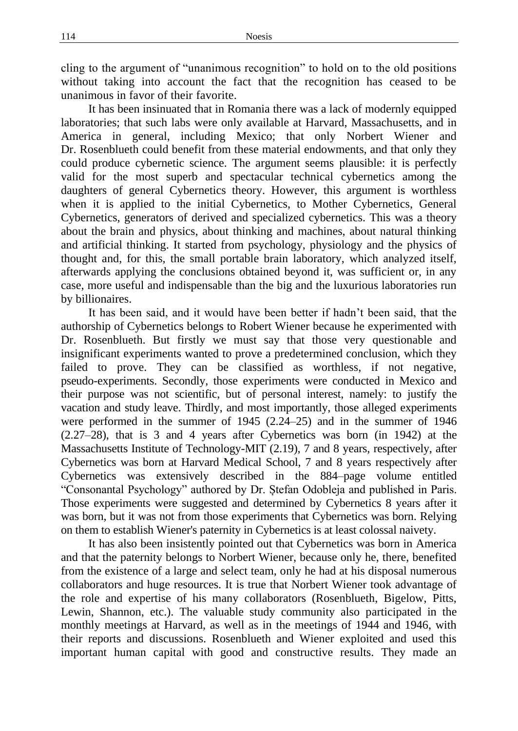cling to the argument of "unanimous recognition" to hold on to the old positions without taking into account the fact that the recognition has ceased to be unanimous in favor of their favorite.

It has been insinuated that in Romania there was a lack of modernly equipped laboratories; that such labs were only available at Harvard, Massachusetts, and in America in general, including Mexico; that only Norbert Wiener and Dr. Rosenblueth could benefit from these material endowments, and that only they could produce cybernetic science. The argument seems plausible: it is perfectly valid for the most superb and spectacular technical cybernetics among the daughters of general Cybernetics theory. However, this argument is worthless when it is applied to the initial Cybernetics, to Mother Cybernetics, General Cybernetics, generators of derived and specialized cybernetics. This was a theory about the brain and physics, about thinking and machines, about natural thinking and artificial thinking. It started from psychology, physiology and the physics of thought and, for this, the small portable brain laboratory, which analyzed itself, afterwards applying the conclusions obtained beyond it, was sufficient or, in any case, more useful and indispensable than the big and the luxurious laboratories run by billionaires.

It has been said, and it would have been better if hadn't been said, that the authorship of Cybernetics belongs to Robert Wiener because he experimented with Dr. Rosenblueth. But firstly we must say that those very questionable and insignificant experiments wanted to prove a predetermined conclusion, which they failed to prove. They can be classified as worthless, if not negative, pseudo-experiments. Secondly, those experiments were conducted in Mexico and their purpose was not scientific, but of personal interest, namely: to justify the vacation and study leave. Thirdly, and most importantly, those alleged experiments were performed in the summer of 1945 (2.24–25) and in the summer of 1946 (2.27–28), that is 3 and 4 years after Cybernetics was born (in 1942) at the Massachusetts Institute of Technology-MIT (2.19), 7 and 8 years, respectively, after Cybernetics was born at Harvard Medical School, 7 and 8 years respectively after Cybernetics was extensively described in the 884–page volume entitled "Consonantal Psychology" authored by Dr. Ștefan Odobleja and published in Paris. Those experiments were suggested and determined by Cybernetics 8 years after it was born, but it was not from those experiments that Cybernetics was born. Relying on them to establish Wiener's paternity in Cybernetics is at least colossal naivety.

It has also been insistently pointed out that Cybernetics was born in America and that the paternity belongs to Norbert Wiener, because only he, there, benefited from the existence of a large and select team, only he had at his disposal numerous collaborators and huge resources. It is true that Norbert Wiener took advantage of the role and expertise of his many collaborators (Rosenblueth, Bigelow, Pitts, Lewin, Shannon, etc.). The valuable study community also participated in the monthly meetings at Harvard, as well as in the meetings of 1944 and 1946, with their reports and discussions. Rosenblueth and Wiener exploited and used this important human capital with good and constructive results. They made an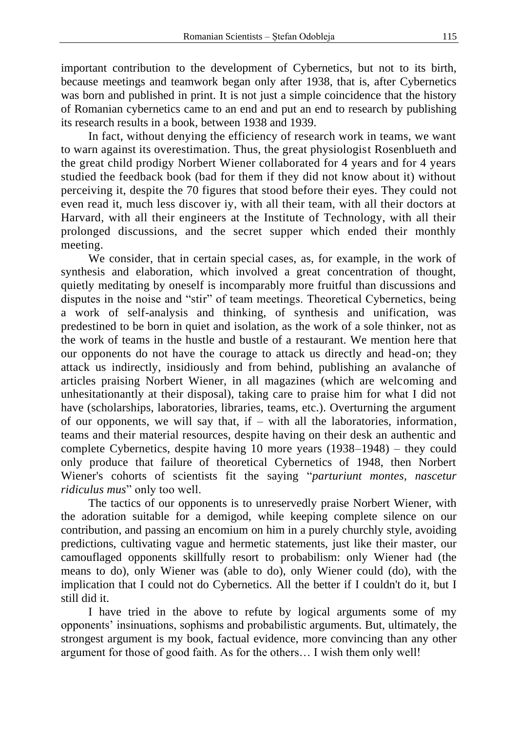important contribution to the development of Cybernetics, but not to its birth, because meetings and teamwork began only after 1938, that is, after Cybernetics was born and published in print. It is not just a simple coincidence that the history of Romanian cybernetics came to an end and put an end to research by publishing its research results in a book, between 1938 and 1939.

In fact, without denying the efficiency of research work in teams, we want to warn against its overestimation. Thus, the great physiologist Rosenblueth and the great child prodigy Norbert Wiener collaborated for 4 years and for 4 years studied the feedback book (bad for them if they did not know about it) without perceiving it, despite the 70 figures that stood before their eyes. They could not even read it, much less discover iy, with all their team, with all their doctors at Harvard, with all their engineers at the Institute of Technology, with all their prolonged discussions, and the secret supper which ended their monthly meeting.

We consider, that in certain special cases, as, for example, in the work of synthesis and elaboration, which involved a great concentration of thought, quietly meditating by oneself is incomparably more fruitful than discussions and disputes in the noise and "stir" of team meetings. Theoretical Cybernetics, being a work of self-analysis and thinking, of synthesis and unification, was predestined to be born in quiet and isolation, as the work of a sole thinker, not as the work of teams in the hustle and bustle of a restaurant. We mention here that our opponents do not have the courage to attack us directly and head-on; they attack us indirectly, insidiously and from behind, publishing an avalanche of articles praising Norbert Wiener, in all magazines (which are welcoming and unhesitationantly at their disposal), taking care to praise him for what I did not have (scholarships, laboratories, libraries, teams, etc.). Overturning the argument of our opponents, we will say that, if – with all the laboratories, information, teams and their material resources, despite having on their desk an authentic and complete Cybernetics, despite having 10 more years (1938–1948) – they could only produce that failure of theoretical Cybernetics of 1948, then Norbert Wiener's cohorts of scientists fit the saying "*parturiunt montes, nascetur ridiculus mus*" only too well.

The tactics of our opponents is to unreservedly praise Norbert Wiener, with the adoration suitable for a demigod, while keeping complete silence on our contribution, and passing an encomium on him in a purely churchly style, avoiding predictions, cultivating vague and hermetic statements, just like their master, our camouflaged opponents skillfully resort to probabilism: only Wiener had (the means to do), only Wiener was (able to do), only Wiener could (do), with the implication that I could not do Cybernetics. All the better if I couldn't do it, but I still did it.

I have tried in the above to refute by logical arguments some of my opponents' insinuations, sophisms and probabilistic arguments. But, ultimately, the strongest argument is my book, factual evidence, more convincing than any other argument for those of good faith. As for the others… I wish them only well!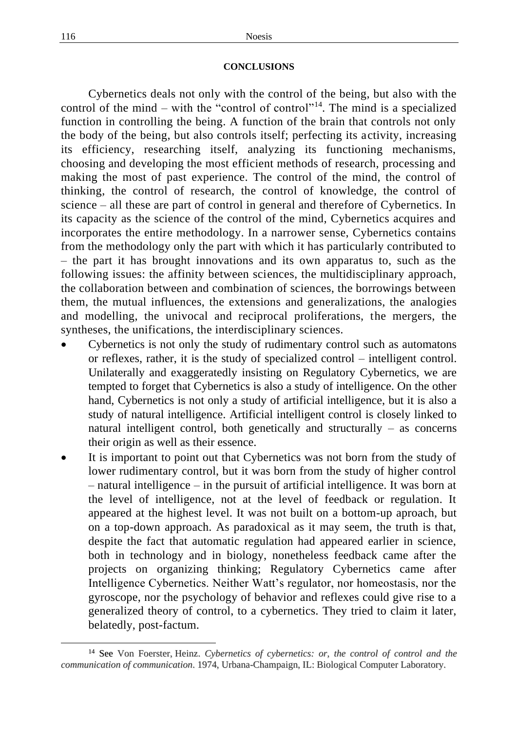### **CONCLUSIONS**

Cybernetics deals not only with the control of the being, but also with the control of the mind – with the "control of control"<sup>14</sup>. The mind is a specialized function in controlling the being. A function of the brain that controls not only the body of the being, but also controls itself; perfecting its activity, increasing its efficiency, researching itself, analyzing its functioning mechanisms, choosing and developing the most efficient methods of research, processing and making the most of past experience. The control of the mind, the control of thinking, the control of research, the control of knowledge, the control of science – all these are part of control in general and therefore of Cybernetics. In its capacity as the science of the control of the mind, Cybernetics acquires and incorporates the entire methodology. In a narrower sense, Cybernetics contains from the methodology only the part with which it has particularly contributed to – the part it has brought innovations and its own apparatus to, such as the following issues: the affinity between sciences, the multidisciplinary approach, the collaboration between and combination of sciences, the borrowings between them, the mutual influences, the extensions and generalizations, the analogies and modelling, the univocal and reciprocal proliferations, the mergers, the syntheses, the unifications, the interdisciplinary sciences.

- Cybernetics is not only the study of rudimentary control such as automatons or reflexes, rather, it is the study of specialized control – intelligent control. Unilaterally and exaggeratedly insisting on Regulatory Cybernetics, we are tempted to forget that Cybernetics is also a study of intelligence. On the other hand, Cybernetics is not only a study of artificial intelligence, but it is also a study of natural intelligence. Artificial intelligent control is closely linked to natural intelligent control, both genetically and structurally – as concerns their origin as well as their essence.
- It is important to point out that Cybernetics was not born from the study of lower rudimentary control, but it was born from the study of higher control – natural intelligence – in the pursuit of artificial intelligence. It was born at the level of intelligence, not at the level of feedback or regulation. It appeared at the highest level. It was not built on a bottom-up aproach, but on a top-down approach. As paradoxical as it may seem, the truth is that, despite the fact that automatic regulation had appeared earlier in science, both in technology and in biology, nonetheless feedback came after the projects on organizing thinking; Regulatory Cybernetics came after Intelligence Cybernetics. Neither Watt's regulator, nor homeostasis, nor the gyroscope, nor the psychology of behavior and reflexes could give rise to a generalized theory of control, to a cybernetics. They tried to claim it later, belatedly, post-factum.

<sup>14</sup> See Von Foerster, Heinz. *Cybernetics of cybernetics: or, the control of control and the communication of communication*. 1974, Urbana-Champaign, IL: Biological Computer Laboratory.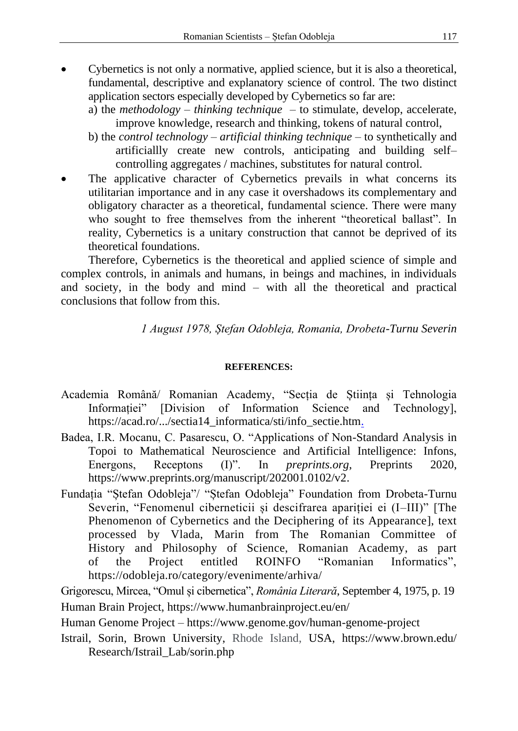- Cybernetics is not only a normative, applied science, but it is also a theoretical, fundamental, descriptive and explanatory science of control. The two distinct application sectors especially developed by Cybernetics so far are:
	- a) the *methodology thinking technique* to stimulate, develop, accelerate, improve knowledge, research and thinking, tokens of natural control,
	- b) the *control technology – artificial thinking technique* to synthetically and artificiallly create new controls, anticipating and building self– controlling aggregates / machines, substitutes for natural control.
- The applicative character of Cybernetics prevails in what concerns its utilitarian importance and in any case it overshadows its complementary and obligatory character as a theoretical, fundamental science. There were many who sought to free themselves from the inherent "theoretical ballast". In reality, Cybernetics is a unitary construction that cannot be deprived of its theoretical foundations.

Therefore, Cybernetics is the theoretical and applied science of simple and complex controls, in animals and humans, in beings and machines, in individuals and society, in the body and mind – with all the theoretical and practical conclusions that follow from this.

*1 August 1978, Ștefan Odobleja, Romania, Drobeta-Turnu Severin*

# **REFERENCES:**

- Academia Română/ Romanian Academy, "Secția de Știința și Tehnologia Informației" [Division of Information Science and Technology], https://acad.ro/.../sectia14\_informatica/sti/info\_sectie.htm.
- Badea, I.R. Mocanu, C. Pasarescu, O. "Applications of Non-Standard Analysis in Topoi to Mathematical Neuroscience and Artificial Intelligence: Infons, Energons, Receptons (I)". In *preprints.org*, Preprints 2020, https://www.preprints.org/manuscript/202001.0102/v2.
- Fundația "Ștefan Odobleja"/ "Ștefan Odobleja" Foundation from Drobeta-Turnu Severin, "Fenomenul ciberneticii și descifrarea apariției ei (I–III)" [The Phenomenon of Cybernetics and the Deciphering of its Appearance], text processed by Vlada, Marin from The Romanian Committee of History and Philosophy of Science, Romanian Academy, as part of the Project entitled ROINFO "Romanian Informatics", https://odobleja.ro/category/evenimente/arhiva/

Grigorescu, Mircea, "Omul și cibernetica", *România Literară*, September 4, 1975, p. 19 Human Brain Project, https://www.humanbrainproject.eu/en/

Human Genome Project – https://www.genome.gov/human-genome-project

Istrail, Sorin, Brown University, Rhode Island, USA, https://www.brown.edu/ Research/Istrail\_Lab/sorin.php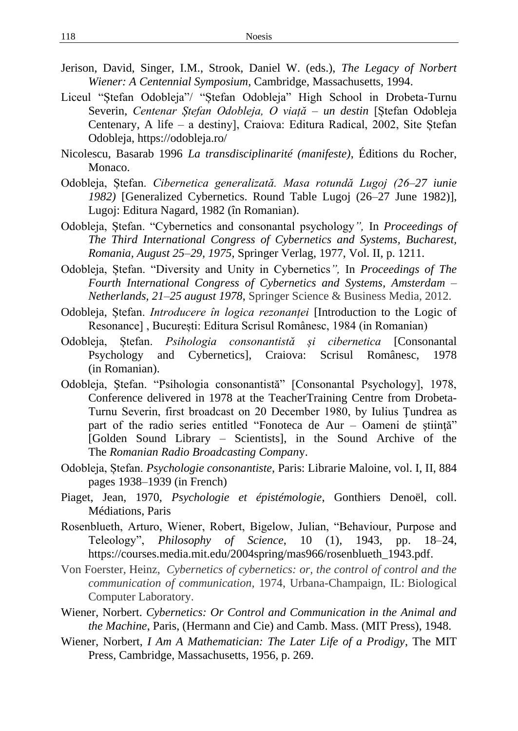- Jerison, David, Singer, I.M., Strook, Daniel W. (eds.), *The Legacy of Norbert Wiener: A Centennial Symposium*, Cambridge, Massachusetts, 1994.
- Liceul "Ștefan Odobleja"/ "Ștefan Odobleja" High School in Drobeta-Turnu Severin, *Centenar Ștefan Odobleja, O viață – un destin* [Ștefan Odobleja Centenary, A life – a destiny], Craiova: Editura Radical, 2002, Site Ștefan Odobleja,<https://odobleja.ro/>
- Nicolescu, Basarab 1996 *La transdisciplinarité (manifeste)*, Éditions du Rocher, Monaco.
- Odobleja, Ștefan. *Cibernetica generalizată. Masa rotundă Lugoj (26–27 iunie 1982)* [Generalized Cybernetics. Round Table Lugoj (26–27 June 1982)], Lugoj: Editura Nagard, 1982 (în Romanian).
- Odobleja, Ștefan. "Cybernetics and consonantal psychology*",* In *Proceedings of The Third International Congress of Cybernetics and Systems, Bucharest, Romania, August 25–29, 1975*, Springer Verlag, 1977, Vol. II, p. 1211.
- Odobleja, Ștefan. "Diversity and Unity in Cybernetics*",* In *Proceedings of The Fourth International Congress of Cybernetics and Systems, Amsterdam – Netherlands, 21–25 august 1978*, Springer Science & Business Media, 2012.
- Odobleja, Ștefan. *Introducere în logica rezonanței* [Introduction to the Logic of Resonance] , București: Editura Scrisul Românesc, 1984 (in Romanian)
- Odobleja, Ștefan. *Psihologia consonantistă și cibernetica* [Consonantal Psychology and Cybernetics], Craiova: Scrisul Românesc, 1978 (in Romanian).
- Odobleja, Ştefan. "Psihologia consonantistă" [Consonantal Psychology], 1978, Conference delivered in 1978 at the TeacherTraining Centre from Drobeta-Turnu Severin, first broadcast on 20 December 1980, by Iulius Ţundrea as part of the radio series entitled "Fonoteca de Aur – Oameni de știință" [Golden Sound Library – Scientists], in the Sound Archive of the The *Romanian Radio Broadcasting Compan*y.
- Odobleja, Ștefan. *Psychologie consonantiste*, Paris: Librarie Maloine, vol. I, II, 884 pages 1938–1939 (in French)
- Piaget, Jean, 1970, *Psychologie et épistémologie*, Gonthiers Denoël, coll. Médiations, Paris
- Rosenblueth, Arturo, Wiener, Robert, Bigelow, Julian, "Behaviour, Purpose and Teleology", *Philosophy of Science*, 10 (1), 1943, pp. 18–24, https://courses.media.mit.edu/2004spring/mas966/rosenblueth\_1943.pdf.
- Von Foerster, Heinz, *Cybernetics of cybernetics: or, the control of control and the communication of communication,* 1974, Urbana-Champaign, IL: Biological Computer Laboratory.
- Wiener, Norbert. *Cybernetics: Or Control and Communication in the Animal and the Machine*, Paris, (Hermann and Cie) and Camb. Mass. (MIT Press), 1948.
- Wiener, Norbert, *I Am A Mathematician: The Later Life of a Prodigy*, The MIT Press, Cambridge, Massachusetts, 1956, p. 269.